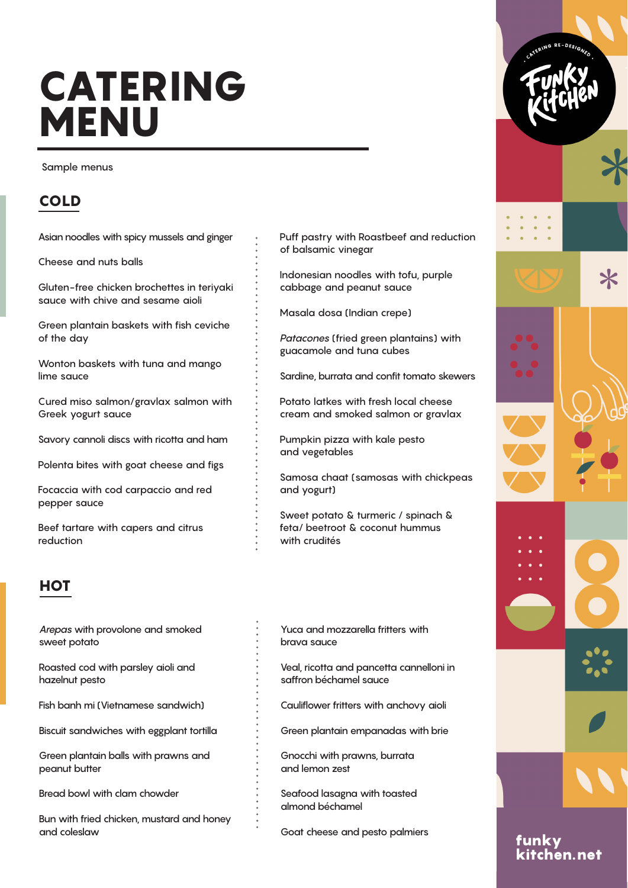# CATERING **MENU**

Sample menus

# COLD

Asian noodles with spicy mussels and ginger

Cheese and nuts balls

Gluten-free chicken brochettes in teriyaki sauce with chive and sesame aioli

Green plantain baskets with fish ceviche of the day

Wonton baskets with tuna and mango lime sauce

Cured miso salmon/gravlax salmon with Greek yogurt sauce

Savory cannoli discs with ricotta and ham

Polenta bites with goat cheese and figs

Focaccia with cod carpaccio and red pepper sauce

Beef tartare with capers and citrus reduction

## **HOT**

Arepas with provolone and smoked sweet potato

Roasted cod with parsley aioli and hazelnut pesto

Fish banh mi (Vietnamese sandwich)

Biscuit sandwiches with eggplant tortilla

Green plantain balls with prawns and peanut butter

Bread bowl with clam chowder

Bun with fried chicken, mustard and honey and coleslaw

Puff pastry with Roastbeef and reduction of balsamic vinegar

Indonesian noodles with tofu, purple cabbage and peanut sauce

Masala dosa (Indian crepe)

Patacones (fried green plantains) with guacamole and tuna cubes

Sardine, burrata and confit tomato skewers

Potato latkes with fresh local cheese cream and smoked salmon or gravlax

Pumpkin pizza with kale pesto and vegetables

Samosa chaat (samosas with chickpeas and yogurt)

Sweet potato & turmeric / spinach & feta/ beetroot & coconut hummus with crudités

- Yuca and mozzarella fritters with brava sauce
- Veal, ricotta and pancetta cannelloni in saffron béchamel sauce
- Cauliflower fritters with anchovy aioli
- Green plantain empanadas with brie

Gnocchi with prawns, burrata and lemon zest

Seafood lasagna with toasted almond béchamel

Goat cheese and pesto palmiers

 $\boldsymbol{\times}$ 

funky kitchen.net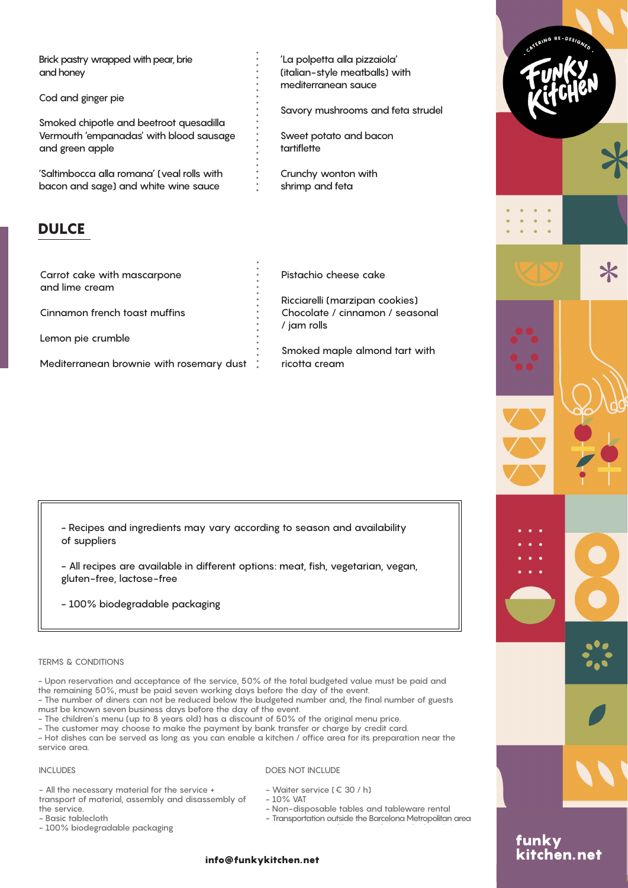Brick pastry wrapped with pear, brie and honey

Cod and ginger pie

Smoked chipotle and beetroot quesadilla Vermouth 'empanadas' with blood sausage and green apple

'Saltimbocca alla romana' (veal rolls with bacon and sage) and white wine sauce

## **DULCE**

Carrot cake with mascarpone and lime cream Cinnamon french toast muffins Lemon pie crumble

Mediterranean brownie with rosemary dust :

'La polpetta alla pizzaiola' (italian-style meatballs) with mediterranean sauce

Savory mushrooms and feta strudel

Sweet potato and bacon tartiflette

Crunchy wonton with shrimp and feta

Pistachio cheese cake

Ricciarelli (marzipan cookies) Chocolate / cinnamon / seasonal / jam rolls

Smoked maple almond tart with ricotta cream

- Recipes and ingredients may vary according to season and availability of suppliers

- All recipes are available in different options: meat, fish, vegetarian, vegan, gluten-free, lactose-free

- 100% biodegradable packaging

#### TERMS & CONDITIONS

- Upon reservation and acceptance of the service, 50% of the total budgeted value must be paid and the remaining 50%, must be paid seven working days before the day of the event.

- The number of diners can not be reduced below the budgeted number and, the final number of guests must be known seven business days before the day of the event.

- The children's menu (up to 8 years old) has a discount of 50% of the original menu price.

- The customer may choose to make the payment by bank transfer or charge by credit card.

- Hot dishes can be served as long as you can enable a kitchen / office area for its preparation near the service area.

#### INCLUDES

DOES NOT INCLUDE

- All the necessary material for the service + transport of material, assembly and disassembly of the service.

- Basic tablecloth

- 100% biodegradable packaging

- Waiter service (€ 30 / h) - 10% VAT
- 

- Non-disposable tables and tableware rental

- Transportation outside the Barcelona Metropolitan area

### info@funkykitchen.net

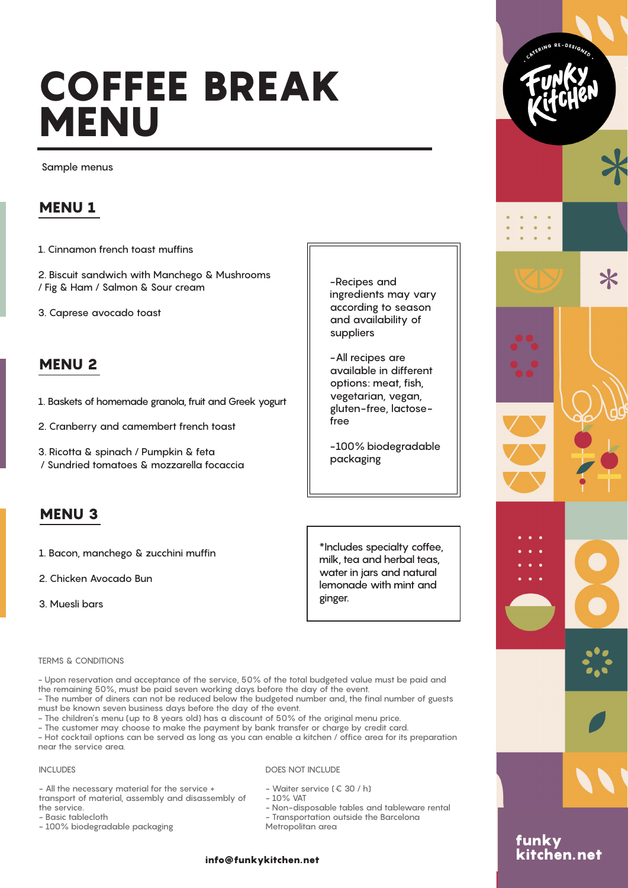# COFFEE BREAK **MENU**

Sample menus

## MENU 1

1. Cinnamon french toast muffins

2. Biscuit sandwich with Manchego & Mushrooms / Fig & Ham / Salmon & Sour cream

3. Caprese avocado toast

## MENU 2

- 1. Baskets of homemade granola, fruit and Greek yogurt
- 2. Cranberry and camembert french toast
- 3. Ricotta & spinach / Pumpkin & feta / Sundried tomatoes & mozzarella focaccia

## MENU 3

- 1. Bacon, manchego & zucchini muffin
- 2. Chicken Avocado Bun
- 3. Muesli bars

-Recipes and ingredients may vary according to season and availability of suppliers

-All recipes are available in different options: meat, fish, vegetarian, vegan, gluten-free, lactosefree

-100% biodegradable packaging

\*Includes specialty coffee, milk, tea and herbal teas, water in jars and natural lemonade with mint and ginger.

#### TERMS & CONDITIONS

- Upon reservation and acceptance of the service, 50% of the total budgeted value must be paid and the remaining 50%, must be paid seven working days before the day of the event.

- The number of diners can not be reduced below the budgeted number and, the final number of guests must be known seven business days before the day of the event.

- The children's menu (up to 8 years old) has a discount of 50% of the original menu price.
- The customer may choose to make the payment by bank transfer or charge by credit card.

- Hot cocktail options can be served as long as you can enable a kitchen / office area for its preparation near the service area.

## INCLUDES

## DOES NOT INCLUDE

- All the necessary material for the service + transport of material, assembly and disassembly of the service.

- Basic tablecloth
- 100% biodegradable packaging
- Waiter service (€ 30 / h)
- 10% VAT
- Non-disposable tables and tableware rental - Transportation outside the Barcelona Metropolitan area

### info@funkykitchen.net



funky<br><u>kitchen.</u>net